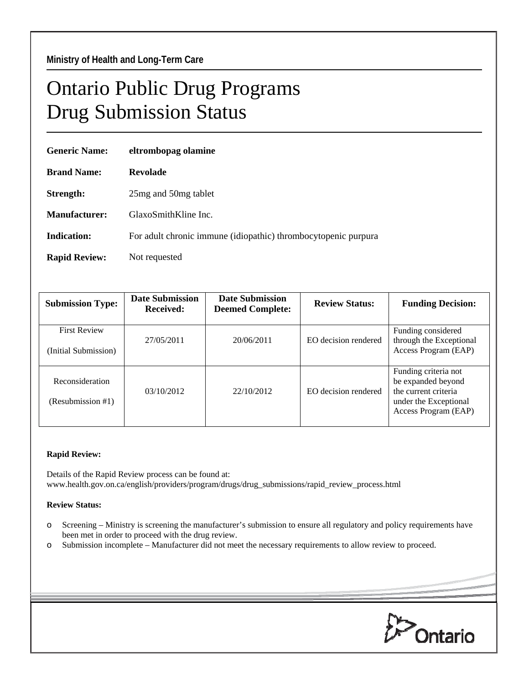## Ontario Public Drug Programs Drug Submission Status

| <b>Generic Name:</b> | eltrombopag olamine                                            |  |  |
|----------------------|----------------------------------------------------------------|--|--|
| <b>Brand Name:</b>   | <b>Revolade</b>                                                |  |  |
| Strength:            | 25 mg and 50 mg tablet                                         |  |  |
| Manufacturer:        | GlaxoSmithKline Inc.                                           |  |  |
| Indication:          | For adult chronic immune (idiopathic) thrombocytopenic purpura |  |  |
| <b>Rapid Review:</b> | Not requested                                                  |  |  |

| <b>Submission Type:</b>                     | <b>Date Submission</b><br>Received: | <b>Date Submission</b><br><b>Deemed Complete:</b> | <b>Review Status:</b> | <b>Funding Decision:</b>                                                                                            |
|---------------------------------------------|-------------------------------------|---------------------------------------------------|-----------------------|---------------------------------------------------------------------------------------------------------------------|
| <b>First Review</b><br>(Initial Submission) | 27/05/2011                          | 20/06/2011                                        | EO decision rendered  | Funding considered<br>through the Exceptional<br>Access Program (EAP)                                               |
| Reconsideration<br>(Resubmission #1)        | 03/10/2012                          | 22/10/2012                                        | EO decision rendered  | Funding criteria not<br>be expanded beyond<br>the current criteria<br>under the Exceptional<br>Access Program (EAP) |

## **Rapid Review:**

Details of the Rapid Review process can be found at: www.health.gov.on.ca/english/providers/program/drugs/drug\_submissions/rapid\_review\_process.html

## **Review Status:**

- o Screening Ministry is screening the manufacturer's submission to ensure all regulatory and policy requirements have been met in order to proceed with the drug review.
- o Submission incomplete Manufacturer did not meet the necessary requirements to allow review to proceed.